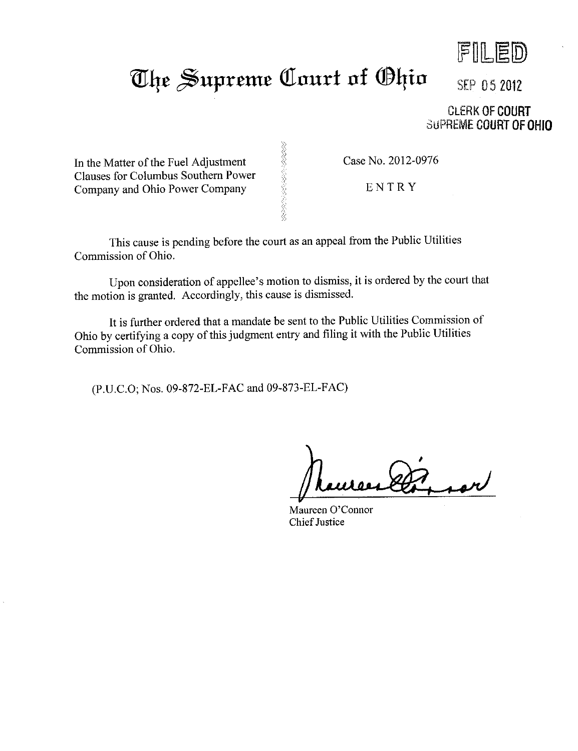

## The Supreme Court of Ohio SEP 05 2012

**CLERK OF COURT SUPREME COURT OF OHIO** 

In the Matter of the Fuel Adjustment Clauses for Columbus Southern Power Company and Ohio Power Company

Case No. 2012-0976

ENTRY

This cause is pending before the court as an appeal from the Public Utilities Commission of Ohio.

Upon consideration of appellee's motion to dismiss, it is ordered by the court that the motion is granted. Accordingly, this cause is dismissed.

こくさんこう きょうこうしょう

It is further ordered that a mandate be sent to the Public Utilities Commission of Ohio by certifying a copy of this judgment entry and filing it with the Public Utilities Commission of Ohio.

(P.U.C.O; Nos. 09-872-EL-FAC and 09-873-EL-FAC)

Maureen O'Connor Chief Justice